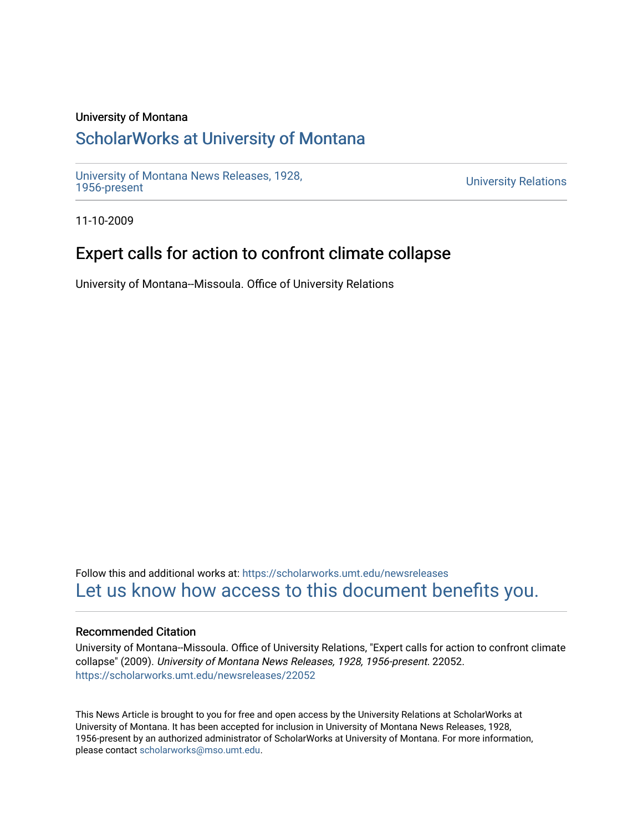#### University of Montana

## [ScholarWorks at University of Montana](https://scholarworks.umt.edu/)

[University of Montana News Releases, 1928,](https://scholarworks.umt.edu/newsreleases) 

**University Relations** 

11-10-2009

## Expert calls for action to confront climate collapse

University of Montana--Missoula. Office of University Relations

Follow this and additional works at: [https://scholarworks.umt.edu/newsreleases](https://scholarworks.umt.edu/newsreleases?utm_source=scholarworks.umt.edu%2Fnewsreleases%2F22052&utm_medium=PDF&utm_campaign=PDFCoverPages) [Let us know how access to this document benefits you.](https://goo.gl/forms/s2rGfXOLzz71qgsB2) 

#### Recommended Citation

University of Montana--Missoula. Office of University Relations, "Expert calls for action to confront climate collapse" (2009). University of Montana News Releases, 1928, 1956-present. 22052. [https://scholarworks.umt.edu/newsreleases/22052](https://scholarworks.umt.edu/newsreleases/22052?utm_source=scholarworks.umt.edu%2Fnewsreleases%2F22052&utm_medium=PDF&utm_campaign=PDFCoverPages) 

This News Article is brought to you for free and open access by the University Relations at ScholarWorks at University of Montana. It has been accepted for inclusion in University of Montana News Releases, 1928, 1956-present by an authorized administrator of ScholarWorks at University of Montana. For more information, please contact [scholarworks@mso.umt.edu.](mailto:scholarworks@mso.umt.edu)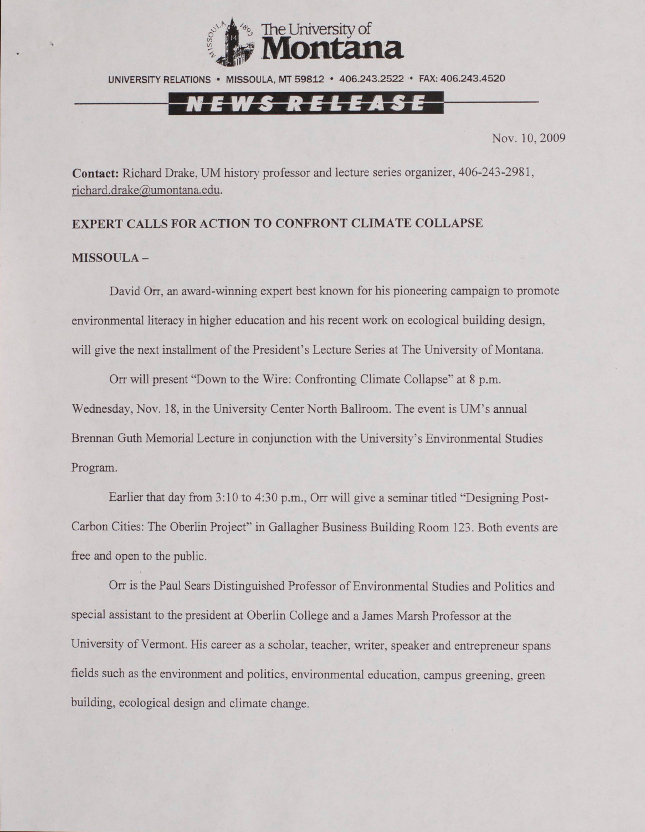

UNIVERSITY RELATIONS • MISSOULA, MT 59812 • 406.243.2522 - FAX: 406.243.4520

# EWS RELEASE

Nov. 10, 2009

**Contact:** Richard Drake, UM history professor and lecture series organizer, 406-243-2981, [richard.drake@umontana.edu](mailto:richard.drake@umontana.edu).

### **EXPERT CALLS FOR ACTION TO CONFRONT CLIMATE COLLAPSE**

#### **MISSOULA -**

David Orr, an award-winning expert best known for his pioneering campaign to promote environmental literacy in higher education and his recent work on ecological building design, will give the next installment of the President's Lecture Series at The University of Montana.

Orr will present "Down to the Wire: Confronting Climate Collapse" at 8 p.m. Wednesday, Nov. 18, in the University Center North Ballroom. The event is UM 's annual Brennan Guth Memorial Lecture in conjunction with the University's Environmental Studies Program.

Earlier that day from 3:10 to 4:30 p.m., Orr will give a seminar titled "Designing Post-Carbon Cities: The Oberlin Project" in Gallagher Business Building Room 123. Both events are free and open to the public.

Orr is the Paul Sears Distinguished Professor of Environmental Studies and Politics and special assistant to the president at Oberlin College and a James Marsh Professor at the University of Vermont. His career as a scholar, teacher, writer, speaker and entrepreneur spans fields such as the environment and politics, environmental education, campus greening, green building, ecological design and climate change.